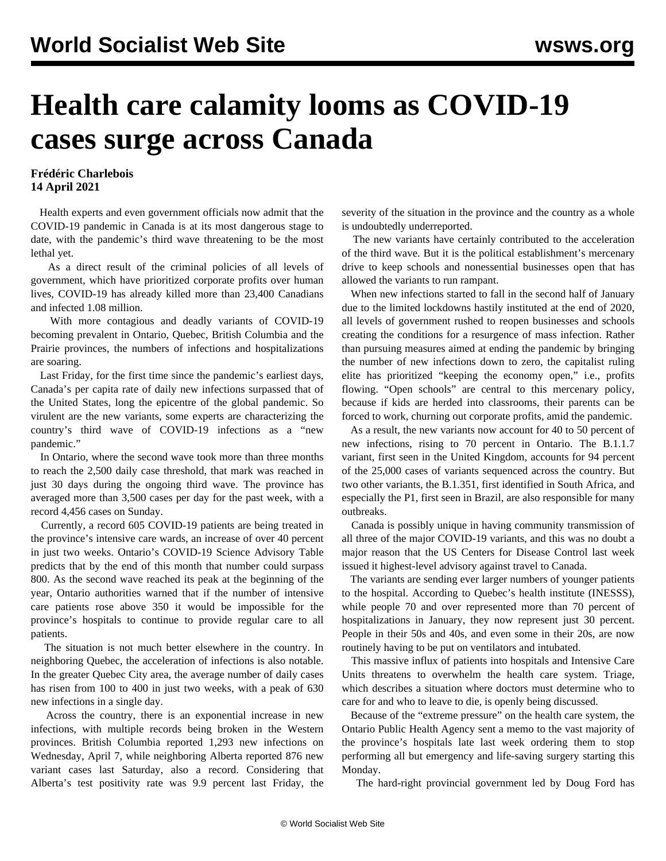## **Health care calamity looms as COVID-19 cases surge across Canada**

## **Frédéric Charlebois 14 April 2021**

 Health experts and even government officials now admit that the COVID-19 pandemic in Canada is at its most dangerous stage to date, with the pandemic's third wave threatening to be the most lethal yet.

 As a direct result of the criminal policies of all levels of government, which have prioritized corporate profits over human lives, COVID-19 has already killed more than 23,400 Canadians and infected 1.08 million.

 With more contagious and deadly variants of COVID-19 becoming prevalent in Ontario, Quebec, British Columbia and the Prairie provinces, the numbers of infections and hospitalizations are soaring.

 Last Friday, for the first time since the pandemic's earliest days, Canada's per capita rate of daily new infections surpassed that of the United States, long the epicentre of the global pandemic. So virulent are the new variants, some experts are characterizing the country's third wave of COVID-19 infections as a "new pandemic."

 In Ontario, where the second wave took more than three months to reach the 2,500 daily case threshold, that mark was reached in just 30 days during the ongoing third wave. The province has averaged more than 3,500 cases per day for the past week, with a record 4,456 cases on Sunday.

 Currently, a record 605 COVID-19 patients are being treated in the province's intensive care wards, an increase of over 40 percent in just two weeks. Ontario's COVID-19 Science Advisory Table predicts that by the end of this month that number could surpass 800. As the second wave reached its peak at the beginning of the year, Ontario authorities warned that if the number of intensive care patients rose above 350 it would be impossible for the province's hospitals to continue to provide regular care to all patients.

 The situation is not much better elsewhere in the country. In neighboring Quebec, the acceleration of infections is also notable. In the greater Quebec City area, the average number of daily cases has risen from 100 to 400 in just two weeks, with a peak of 630 new infections in a single day.

 Across the country, there is an exponential increase in new infections, with multiple records being broken in the Western provinces. British Columbia reported 1,293 new infections on Wednesday, April 7, while neighboring Alberta reported 876 new variant cases last Saturday, also a record. Considering that Alberta's test positivity rate was 9.9 percent last Friday, the

severity of the situation in the province and the country as a whole is undoubtedly underreported.

 The new variants have certainly contributed to the acceleration of the third wave. But it is the political establishment's mercenary drive to keep schools and nonessential businesses open that has allowed the variants to run rampant.

 When new infections started to fall in the second half of January due to the limited lockdowns hastily instituted at the end of 2020, all levels of government rushed to reopen businesses and schools creating the conditions for a resurgence of mass infection. Rather than pursuing measures aimed at ending the pandemic by bringing the number of new infections down to zero, the capitalist ruling elite has prioritized "keeping the economy open," i.e., profits flowing. "Open schools" are central to this mercenary policy, because if kids are herded into classrooms, their parents can be forced to work, churning out corporate profits, amid the pandemic.

 As a result, the new variants now account for 40 to 50 percent of new infections, rising to 70 percent in Ontario. The B.1.1.7 variant, first seen in the United Kingdom, accounts for 94 percent of the 25,000 cases of variants sequenced across the country. But two other variants, the B.1.351, first identified in South Africa, and especially the P1, first seen in Brazil, are also responsible for many outbreaks.

 Canada is possibly unique in having community transmission of all three of the major COVID-19 variants, and this was no doubt a major reason that the US Centers for Disease Control last week issued it highest-level advisory against travel to Canada.

 The variants are sending ever larger numbers of younger patients to the hospital. According to Quebec's health institute (INESSS), while people 70 and over represented more than 70 percent of hospitalizations in January, they now represent just 30 percent. People in their 50s and 40s, and even some in their 20s, are now routinely having to be put on ventilators and intubated.

 This massive influx of patients into hospitals and Intensive Care Units threatens to overwhelm the health care system. Triage, which describes a situation where doctors must determine who to care for and who to leave to die, is openly being discussed.

 Because of the "extreme pressure" on the health care system, the Ontario Public Health Agency sent a memo to the vast majority of the province's hospitals late last week ordering them to stop performing all but emergency and life-saving surgery starting this Monday.

The hard-right provincial government led by Doug Ford has